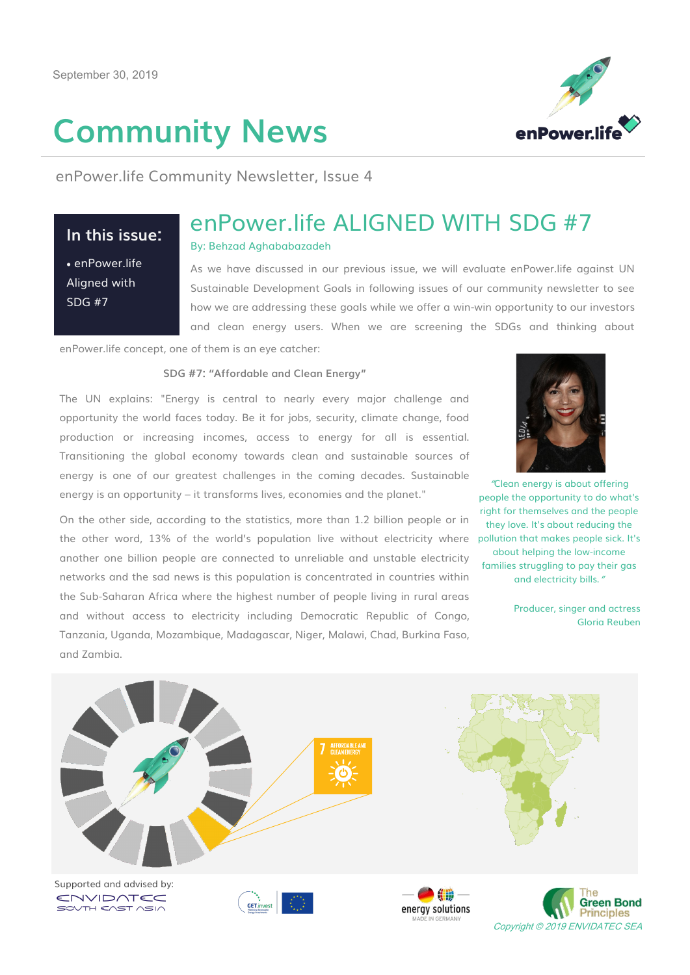# **Community News**



enPower.life Community Newsletter, Issue 4

# **In this issue:**

 enPower.life Aligned with SDG #7

# enPower.life ALIGNED WITH SDG #7

## By: Behzad Aghababazadeh

As we have discussed in our previous issue, we will evaluate enPower.life against UN Sustainable Development Goals in following issues of our community newsletter to see how we are addressing these goals while we offer a win-win opportunity to our investors and clean energy users. When we are screening the SDGs and thinking about

enPower.life concept, one of them is an eye catcher:

#### **SDG #7: "Affordable and Clean Energy"**

The UN explains: "Energy is central to nearly every major challenge and opportunity the world faces today. Be it for jobs, security, climate change, food production or increasing incomes, access to energy for all is essential. Transitioning the global economy towards clean and sustainable sources of energy is one of our greatest challenges in the coming decades. Sustainable energy is an opportunity – it transforms lives, economies and the planet."

On the other side, according to the statistics, more than 1.2 billion people or in the other word, 13% of the world's population live without electricity where another one billion people are connected to unreliable and unstable electricity networks and the sad news is this population is concentrated in countries within the Sub-Saharan Africa where the highest number of people living in rural areas and without access to electricity including Democratic Republic of Congo, Tanzania, Uganda, Mozambique, Madagascar, Niger, Malawi, Chad, Burkina Faso, and Zambia.



"Clean energy is about offering people the opportunity to do what's right for themselves and the people they love. It's about reducing the pollution that makes people sick. It's about helping the low-income families struggling to pay their gas and electricity bills."

> Producer, singer and actress Gloria Reuben